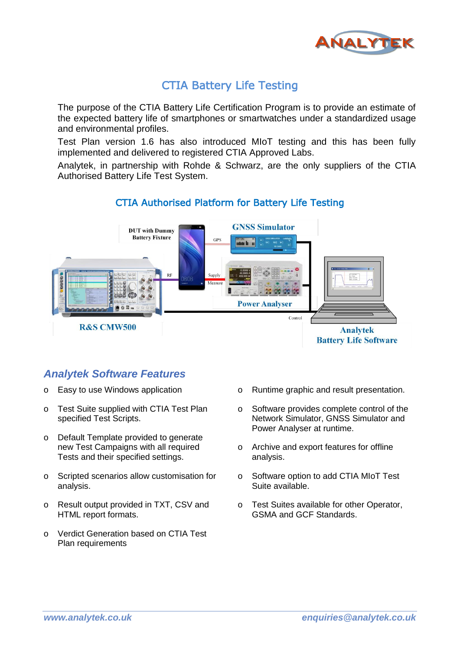

# CTIA Battery Life Testing

The purpose of the CTIA Battery Life Certification Program is to provide an estimate of the expected battery life of smartphones or smartwatches under a standardized usage and environmental profiles.

Test Plan version 1.6 has also introduced MIoT testing and this has been fully implemented and delivered to registered CTIA Approved Labs.

Analytek, in partnership with Rohde & Schwarz, are the only suppliers of the CTIA Authorised Battery Life Test System.



#### CTIA Authorised Platform for Battery Life Testing

### *Analytek Software Features*

- o Easy to use Windows application
- o Test Suite supplied with CTIA Test Plan specified Test Scripts.
- o Default Template provided to generate new Test Campaigns with all required Tests and their specified settings.
- o Scripted scenarios allow customisation for analysis.
- o Result output provided in TXT, CSV and HTML report formats.
- o Verdict Generation based on CTIA Test Plan requirements
- o Runtime graphic and result presentation.
- o Software provides complete control of the Network Simulator, GNSS Simulator and Power Analyser at runtime.
- o Archive and export features for offline analysis.
- o Software option to add CTIA MIoT Test Suite available.
- o Test Suites available for other Operator, GSMA and GCF Standards.